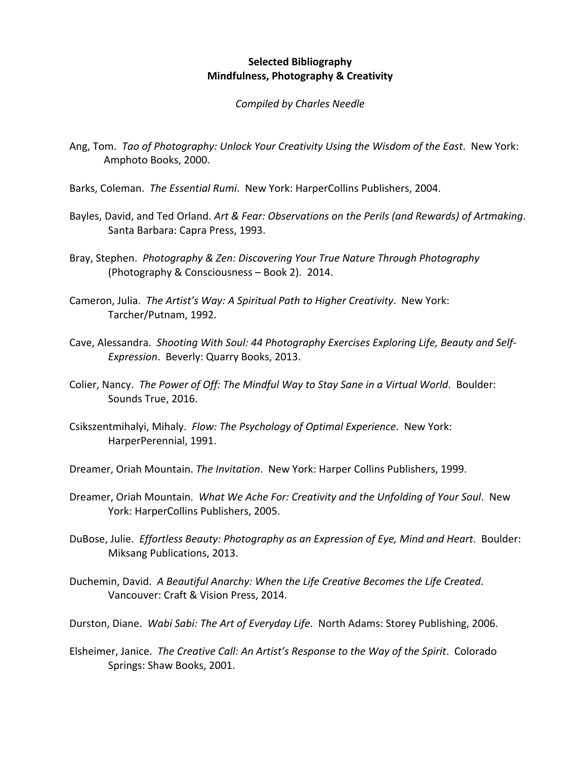## **Selected Bibliography Mindfulness, Photography & Creativity**

## *Compiled by Charles Needle*

- Ang, Tom. *Tao of Photography: Unlock Your Creativity Using the Wisdom of the East*. New York: Amphoto Books, 2000.
- Barks, Coleman. *The Essential Rumi*. New York: HarperCollins Publishers, 2004.
- Bayles, David, and Ted Orland. *Art & Fear: Observations on the Perils (and Rewards) of Artmaking*. Santa Barbara: Capra Press, 1993.
- Bray, Stephen. *Photography & Zen: Discovering Your True Nature Through Photography* (Photography & Consciousness – Book 2). 2014.
- Cameron, Julia. *The Artist's Way: A Spiritual Path to Higher Creativity*. New York: Tarcher/Putnam, 1992.
- Cave, Alessandra. *Shooting With Soul: 44 Photography Exercises Exploring Life, Beauty and Self-Expression*. Beverly: Quarry Books, 2013.
- Colier, Nancy. *The Power of Off: The Mindful Way to Stay Sane in a Virtual World*. Boulder: Sounds True, 2016.
- Csikszentmihalyi, Mihaly. *Flow: The Psychology of Optimal Experience*. New York: HarperPerennial, 1991.
- Dreamer, Oriah Mountain. *The Invitation*. New York: Harper Collins Publishers, 1999.
- Dreamer, Oriah Mountain. *What We Ache For: Creativity and the Unfolding of Your Soul*. New York: HarperCollins Publishers, 2005.
- DuBose, Julie. *Effortless Beauty: Photography as an Expression of Eye, Mind and Heart*. Boulder: Miksang Publications, 2013.
- Duchemin, David. *A Beautiful Anarchy: When the Life Creative Becomes the Life Created*. Vancouver: Craft & Vision Press, 2014.
- Durston, Diane. *Wabi Sabi: The Art of Everyday Life*. North Adams: Storey Publishing, 2006.
- Elsheimer, Janice. *The Creative Call: An Artist's Response to the Way of the Spirit*. Colorado Springs: Shaw Books, 2001.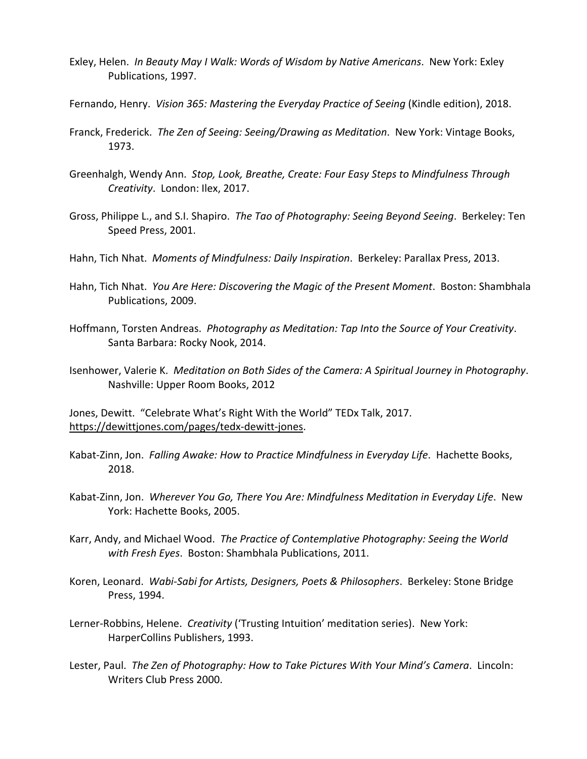- Exley, Helen. *In Beauty May I Walk: Words of Wisdom by Native Americans*. New York: Exley Publications, 1997.
- Fernando, Henry. *Vision 365: Mastering the Everyday Practice of Seeing* (Kindle edition), 2018.
- Franck, Frederick. *The Zen of Seeing: Seeing/Drawing as Meditation*. New York: Vintage Books, 1973.
- Greenhalgh, Wendy Ann. *Stop, Look, Breathe, Create: Four Easy Steps to Mindfulness Through Creativity*. London: Ilex, 2017.
- Gross, Philippe L., and S.I. Shapiro. *The Tao of Photography: Seeing Beyond Seeing*. Berkeley: Ten Speed Press, 2001.
- Hahn, Tich Nhat. *Moments of Mindfulness: Daily Inspiration*. Berkeley: Parallax Press, 2013.
- Hahn, Tich Nhat. *You Are Here: Discovering the Magic of the Present Moment*. Boston: Shambhala Publications, 2009.
- Hoffmann, Torsten Andreas. *Photography as Meditation: Tap Into the Source of Your Creativity*. Santa Barbara: Rocky Nook, 2014.
- Isenhower, Valerie K. *Meditation on Both Sides of the Camera: A Spiritual Journey in Photography*. Nashville: Upper Room Books, 2012

Jones, Dewitt. "Celebrate What's Right With the World" TEDx Talk, 2017. https://dewittjones.com/pages/tedx-dewitt-jones.

- Kabat-Zinn, Jon. *Falling Awake: How to Practice Mindfulness in Everyday Life*. Hachette Books, 2018.
- Kabat-Zinn, Jon. *Wherever You Go, There You Are: Mindfulness Meditation in Everyday Life*. New York: Hachette Books, 2005.
- Karr, Andy, and Michael Wood. *The Practice of Contemplative Photography: Seeing the World with Fresh Eyes*. Boston: Shambhala Publications, 2011.
- Koren, Leonard. *Wabi-Sabi for Artists, Designers, Poets & Philosophers*. Berkeley: Stone Bridge Press, 1994.
- Lerner-Robbins, Helene. *Creativity* ('Trusting Intuition' meditation series). New York: HarperCollins Publishers, 1993.
- Lester, Paul. *The Zen of Photography: How to Take Pictures With Your Mind's Camera*. Lincoln: Writers Club Press 2000.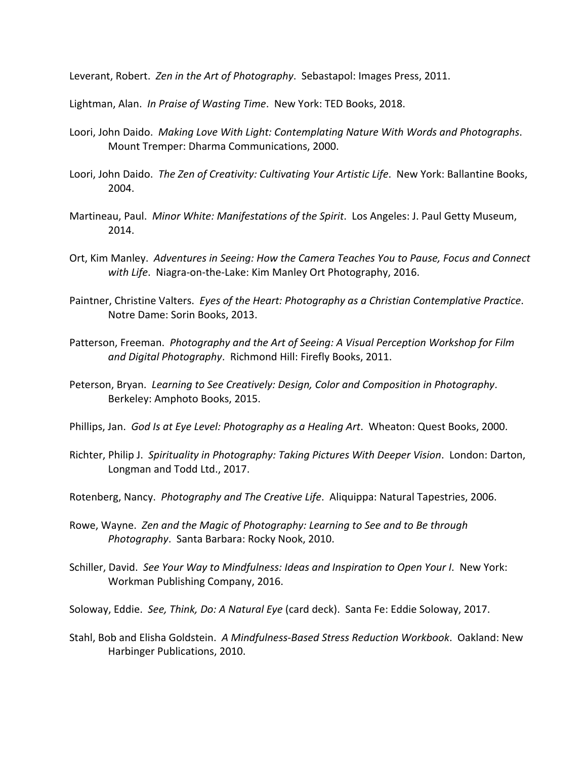Leverant, Robert. *Zen in the Art of Photography*. Sebastapol: Images Press, 2011.

Lightman, Alan. *In Praise of Wasting Time*. New York: TED Books, 2018.

- Loori, John Daido. *Making Love With Light: Contemplating Nature With Words and Photographs*. Mount Tremper: Dharma Communications, 2000.
- Loori, John Daido. *The Zen of Creativity: Cultivating Your Artistic Life*. New York: Ballantine Books, 2004.
- Martineau, Paul. *Minor White: Manifestations of the Spirit*. Los Angeles: J. Paul Getty Museum, 2014.
- Ort, Kim Manley. *Adventures in Seeing: How the Camera Teaches You to Pause, Focus and Connect with Life*. Niagra-on-the-Lake: Kim Manley Ort Photography, 2016.
- Paintner, Christine Valters. *Eyes of the Heart: Photography as a Christian Contemplative Practice*. Notre Dame: Sorin Books, 2013.
- Patterson, Freeman. *Photography and the Art of Seeing: A Visual Perception Workshop for Film and Digital Photography*. Richmond Hill: Firefly Books, 2011.
- Peterson, Bryan. *Learning to See Creatively: Design, Color and Composition in Photography*. Berkeley: Amphoto Books, 2015.
- Phillips, Jan. *God Is at Eye Level: Photography as a Healing Art*. Wheaton: Quest Books, 2000.
- Richter, Philip J. *Spirituality in Photography: Taking Pictures With Deeper Vision*. London: Darton, Longman and Todd Ltd., 2017.
- Rotenberg, Nancy. *Photography and The Creative Life*. Aliquippa: Natural Tapestries, 2006.
- Rowe, Wayne. *Zen and the Magic of Photography: Learning to See and to Be through Photography*. Santa Barbara: Rocky Nook, 2010.
- Schiller, David. *See Your Way to Mindfulness: Ideas and Inspiration to Open Your I*. New York: Workman Publishing Company, 2016.

Soloway, Eddie. *See, Think, Do: A Natural Eye* (card deck). Santa Fe: Eddie Soloway, 2017.

Stahl, Bob and Elisha Goldstein. *A Mindfulness-Based Stress Reduction Workbook*. Oakland: New Harbinger Publications, 2010.